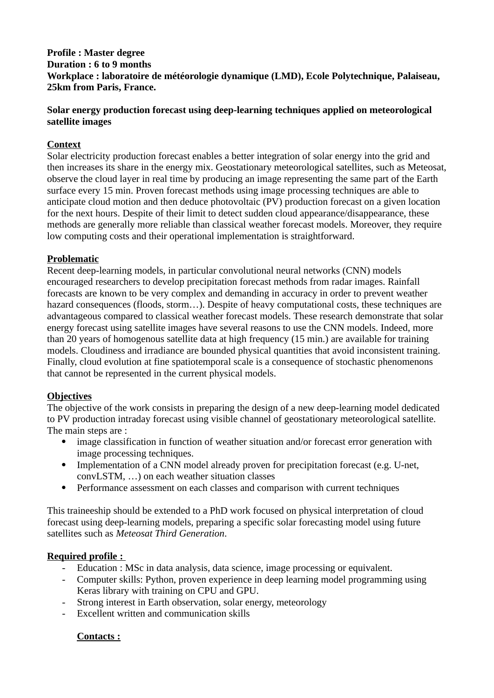#### **Profile : Master degree Duration : 6 to 9 months Workplace : laboratoire de météorologie dynamique (LMD), Ecole Polytechnique, Palaiseau, 25km from Paris, France.**

## **Solar energy production forecast using deep-learning techniques applied on meteorological satellite images**

# **Context**

Solar electricity production forecast enables a better integration of solar energy into the grid and then increases its share in the energy mix. Geostationary meteorological satellites, such as Meteosat, observe the cloud layer in real time by producing an image representing the same part of the Earth surface every 15 min. Proven forecast methods using image processing techniques are able to anticipate cloud motion and then deduce photovoltaic (PV) production forecast on a given location for the next hours. Despite of their limit to detect sudden cloud appearance/disappearance, these methods are generally more reliable than classical weather forecast models. Moreover, they require low computing costs and their operational implementation is straightforward.

## **Problematic**

Recent deep-learning models, in particular convolutional neural networks (CNN) models encouraged researchers to develop precipitation forecast methods from radar images. Rainfall forecasts are known to be very complex and demanding in accuracy in order to prevent weather hazard consequences (floods, storm...). Despite of heavy computational costs, these techniques are advantageous compared to classical weather forecast models. These research demonstrate that solar energy forecast using satellite images have several reasons to use the CNN models. Indeed, more than 20 years of homogenous satellite data at high frequency (15 min.) are available for training models. Cloudiness and irradiance are bounded physical quantities that avoid inconsistent training. Finally, cloud evolution at fine spatiotemporal scale is a consequence of stochastic phenomenons that cannot be represented in the current physical models.

## **Objectives**

The objective of the work consists in preparing the design of a new deep-learning model dedicated to PV production intraday forecast using visible channel of geostationary meteorological satellite. The main steps are :

- image classification in function of weather situation and/or forecast error generation with image processing techniques.
- Implementation of a CNN model already proven for precipitation forecast (e.g. U-net, convLSTM, …) on each weather situation classes
- Performance assessment on each classes and comparison with current techniques

This traineeship should be extended to a PhD work focused on physical interpretation of cloud forecast using deep-learning models, preparing a specific solar forecasting model using future satellites such as *Meteosat Third Generation*.

#### **Required profile :**

- Education : MSc in data analysis, data science, image processing or equivalent.
- Computer skills: Python, proven experience in deep learning model programming using Keras library with training on CPU and GPU.
- Strong interest in Earth observation, solar energy, meteorology
- Excellent written and communication skills

## **Contacts :**